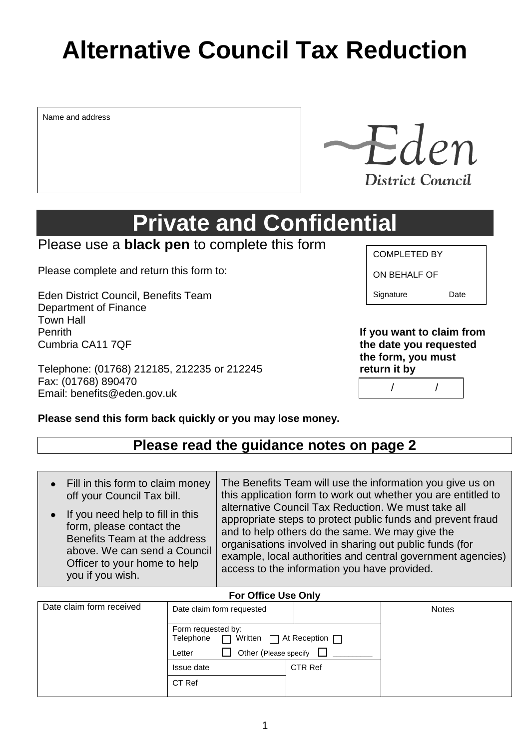# **Alternative Council Tax Reduction**

Name and address

**Private and Confidential**

## Please use a **black pen** to complete this form

Please complete and return this form to:

Eden District Council, Benefits Team Department of Finance Town Hall Penrith **If you want to claim from** Cumbria CA11 7QF **the date you requested**

Telephone: (01768) 212185, 212235 or 212245 **return it by** Fax: (01768) 890470 Email: benefits@eden.gov.uk

#### COMPLETED BY

ON BEHALF OF

Signature Date

**the form, you must**

/ /

|  |  | Please send this form back quickly or you may lose money. |  |
|--|--|-----------------------------------------------------------|--|
|  |  |                                                           |  |

# **Please read the guidance notes on page 2**

| Fill in this form to claim money | The Benefits Team will use the information you give us on     |
|----------------------------------|---------------------------------------------------------------|
| off your Council Tax bill.       | this application form to work out whether you are entitled to |
| If you need help to fill in this | alternative Council Tax Reduction. We must take all           |
| form, please contact the         | appropriate steps to protect public funds and prevent fraud   |
| Benefits Team at the address     | and to help others do the same. We may give the               |
| above. We can send a Council     | organisations involved in sharing out public funds (for       |
| Officer to your home to help     | example, local authorities and central government agencies)   |
| you if you wish.                 | access to the information you have provided.                  |

#### **For Office Use Only**

| Date claim form received | Date claim form requested                                                 |                                    | <b>Notes</b> |
|--------------------------|---------------------------------------------------------------------------|------------------------------------|--------------|
|                          | Form requested by:<br>Telephone $\Box$<br>Other (Please specify<br>Letter | Written $\Box$ At Reception $\Box$ |              |
|                          | Issue date                                                                | CTR Ref                            |              |
|                          | CT Ref                                                                    |                                    |              |

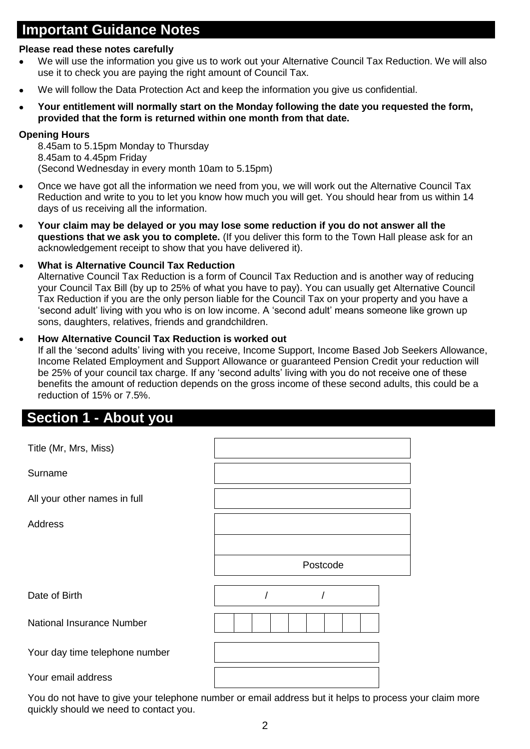# **Important Guidance Notes**

#### **Please read these notes carefully**

- We will use the information you give us to work out your Alternative Council Tax Reduction. We will also use it to check you are paying the right amount of Council Tax.
- We will follow the Data Protection Act and keep the information you give us confidential.
- **Your entitlement will normally start on the Monday following the date you requested the form, provided that the form is returned within one month from that date.**

#### **Opening Hours**

8.45am to 5.15pm Monday to Thursday 8.45am to 4.45pm Friday (Second Wednesday in every month 10am to 5.15pm)

- Once we have got all the information we need from you, we will work out the Alternative Council Tax Reduction and write to you to let you know how much you will get. You should hear from us within 14 days of us receiving all the information.
- **Your claim may be delayed or you may lose some reduction if you do not answer all the questions that we ask you to complete.** (If you deliver this form to the Town Hall please ask for an acknowledgement receipt to show that you have delivered it).

#### **What is Alternative Council Tax Reduction**

Alternative Council Tax Reduction is a form of Council Tax Reduction and is another way of reducing your Council Tax Bill (by up to 25% of what you have to pay). You can usually get Alternative Council Tax Reduction if you are the only person liable for the Council Tax on your property and you have a 'second adult' living with you who is on low income. A 'second adult' means someone like grown up sons, daughters, relatives, friends and grandchildren.

#### **How Alternative Council Tax Reduction is worked out**

If all the 'second adults' living with you receive, Income Support, Income Based Job Seekers Allowance, Income Related Employment and Support Allowance or guaranteed Pension Credit your reduction will be 25% of your council tax charge. If any 'second adults' living with you do not receive one of these benefits the amount of reduction depends on the gross income of these second adults, this could be a reduction of 15% or 7.5%.

### **Section 1 - About you**

| Title (Mr, Mrs, Miss)            |          |
|----------------------------------|----------|
| Surname                          |          |
| All your other names in full     |          |
| <b>Address</b>                   |          |
|                                  |          |
|                                  | Postcode |
| Date of Birth                    |          |
| <b>National Insurance Number</b> |          |
| Your day time telephone number   |          |
| Your email address               |          |
|                                  |          |

You do not have to give your telephone number or email address but it helps to process your claim more quickly should we need to contact you.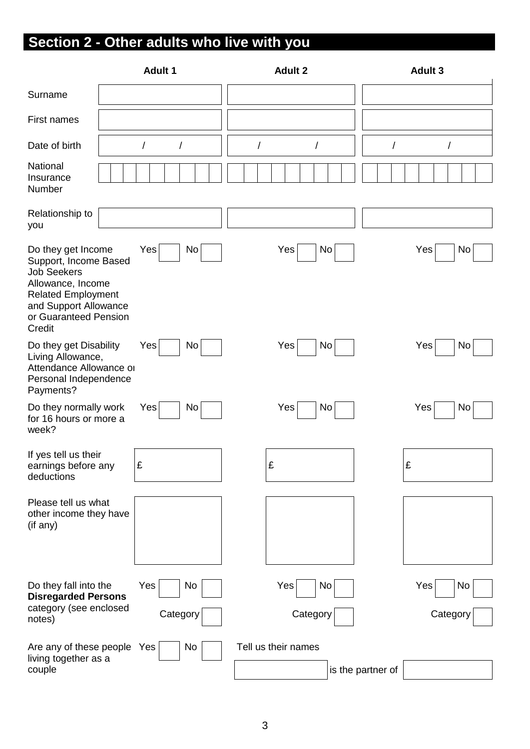# **Section 2 - Other adults who live with you**

|                                                                                                                                                                                 | <b>Adult 1</b>            | <b>Adult 2</b>       | Adult 3           |
|---------------------------------------------------------------------------------------------------------------------------------------------------------------------------------|---------------------------|----------------------|-------------------|
| Surname                                                                                                                                                                         |                           |                      |                   |
| First names                                                                                                                                                                     |                           |                      |                   |
| Date of birth                                                                                                                                                                   | $\sqrt{\phantom{a}}$<br>T | $\prime$<br>$\prime$ | $\prime$<br>/     |
| National<br>Insurance<br>Number                                                                                                                                                 |                           |                      |                   |
| Relationship to<br>you                                                                                                                                                          |                           |                      |                   |
| Do they get Income<br>Support, Income Based<br><b>Job Seekers</b><br>Allowance, Income<br><b>Related Employment</b><br>and Support Allowance<br>or Guaranteed Pension<br>Credit | No<br>Yes                 | Yes<br>No            | Yes<br>No         |
| Do they get Disability<br>Living Allowance,<br>Attendance Allowance or<br>Personal Independence<br>Payments?                                                                    | No<br>Yes                 | Yes<br>No            | Yes<br>No         |
| Do they normally work<br>for 16 hours or more a<br>week?                                                                                                                        | No<br>Yes                 | Yes<br>No            | Yes<br>No         |
| If yes tell us their<br>earnings before any<br>deductions                                                                                                                       | £                         | £                    | £                 |
| Please tell us what<br>other income they have<br>(if any)                                                                                                                       |                           |                      |                   |
| Do they fall into the<br><b>Disregarded Persons</b>                                                                                                                             | Yes<br>No                 | Yes<br>No            | Yes<br>No         |
| category (see enclosed<br>notes)                                                                                                                                                | Category                  | Category             | Category          |
| Are any of these people Yes<br>living together as a<br>couple                                                                                                                   | No                        | Tell us their names  | is the partner of |